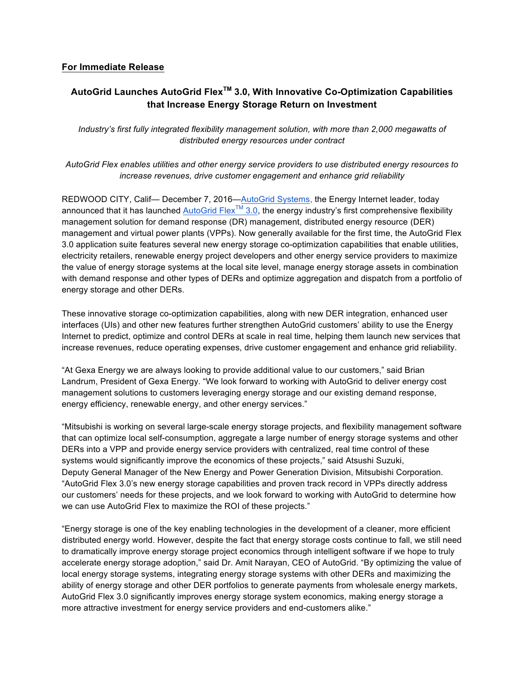## **For Immediate Release**

# **AutoGrid Launches AutoGrid FlexTM 3.0, With Innovative Co-Optimization Capabilities that Increase Energy Storage Return on Investment**

*Industry's first fully integrated flexibility management solution, with more than 2,000 megawatts of distributed energy resources under contract*

*AutoGrid Flex enables utilities and other energy service providers to use distributed energy resources to increase revenues, drive customer engagement and enhance grid reliability*

REDWOOD CITY, Calif— December 7, 2016—AutoGrid Systems, the Energy Internet leader, today announced that it has launched AutoGrid Flex<sup>TM</sup> 3.0, the energy industry's first comprehensive flexibility management solution for demand response (DR) management, distributed energy resource (DER) management and virtual power plants (VPPs). Now generally available for the first time, the AutoGrid Flex 3.0 application suite features several new energy storage co-optimization capabilities that enable utilities, electricity retailers, renewable energy project developers and other energy service providers to maximize the value of energy storage systems at the local site level, manage energy storage assets in combination with demand response and other types of DERs and optimize aggregation and dispatch from a portfolio of energy storage and other DERs.

These innovative storage co-optimization capabilities, along with new DER integration, enhanced user interfaces (UIs) and other new features further strengthen AutoGrid customers' ability to use the Energy Internet to predict, optimize and control DERs at scale in real time, helping them launch new services that increase revenues, reduce operating expenses, drive customer engagement and enhance grid reliability.

"At Gexa Energy we are always looking to provide additional value to our customers," said Brian Landrum, President of Gexa Energy. "We look forward to working with AutoGrid to deliver energy cost management solutions to customers leveraging energy storage and our existing demand response, energy efficiency, renewable energy, and other energy services."

"Mitsubishi is working on several large-scale energy storage projects, and flexibility management software that can optimize local self-consumption, aggregate a large number of energy storage systems and other DERs into a VPP and provide energy service providers with centralized, real time control of these systems would significantly improve the economics of these projects," said Atsushi Suzuki, Deputy General Manager of the New Energy and Power Generation Division, Mitsubishi Corporation. "AutoGrid Flex 3.0's new energy storage capabilities and proven track record in VPPs directly address our customers' needs for these projects, and we look forward to working with AutoGrid to determine how we can use AutoGrid Flex to maximize the ROI of these projects."

"Energy storage is one of the key enabling technologies in the development of a cleaner, more efficient distributed energy world. However, despite the fact that energy storage costs continue to fall, we still need to dramatically improve energy storage project economics through intelligent software if we hope to truly accelerate energy storage adoption," said Dr. Amit Narayan, CEO of AutoGrid. "By optimizing the value of local energy storage systems, integrating energy storage systems with other DERs and maximizing the ability of energy storage and other DER portfolios to generate payments from wholesale energy markets, AutoGrid Flex 3.0 significantly improves energy storage system economics, making energy storage a more attractive investment for energy service providers and end-customers alike."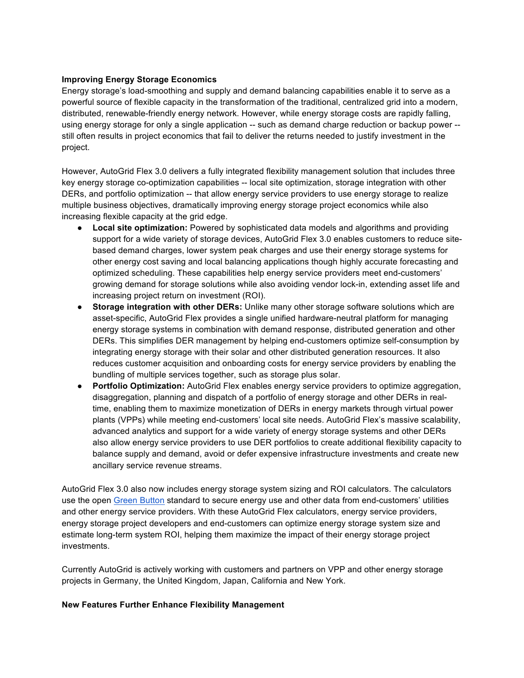### **Improving Energy Storage Economics**

Energy storage's load-smoothing and supply and demand balancing capabilities enable it to serve as a powerful source of flexible capacity in the transformation of the traditional, centralized grid into a modern, distributed, renewable-friendly energy network. However, while energy storage costs are rapidly falling, using energy storage for only a single application -- such as demand charge reduction or backup power - still often results in project economics that fail to deliver the returns needed to justify investment in the project.

However, AutoGrid Flex 3.0 delivers a fully integrated flexibility management solution that includes three key energy storage co-optimization capabilities -- local site optimization, storage integration with other DERs, and portfolio optimization -- that allow energy service providers to use energy storage to realize multiple business objectives, dramatically improving energy storage project economics while also increasing flexible capacity at the grid edge.

- **Local site optimization:** Powered by sophisticated data models and algorithms and providing support for a wide variety of storage devices, AutoGrid Flex 3.0 enables customers to reduce sitebased demand charges, lower system peak charges and use their energy storage systems for other energy cost saving and local balancing applications though highly accurate forecasting and optimized scheduling. These capabilities help energy service providers meet end-customers' growing demand for storage solutions while also avoiding vendor lock-in, extending asset life and increasing project return on investment (ROI).
- **Storage integration with other DERs:** Unlike many other storage software solutions which are asset-specific, AutoGrid Flex provides a single unified hardware-neutral platform for managing energy storage systems in combination with demand response, distributed generation and other DERs. This simplifies DER management by helping end-customers optimize self-consumption by integrating energy storage with their solar and other distributed generation resources. It also reduces customer acquisition and onboarding costs for energy service providers by enabling the bundling of multiple services together, such as storage plus solar.
- **Portfolio Optimization:** AutoGrid Flex enables energy service providers to optimize aggregation, disaggregation, planning and dispatch of a portfolio of energy storage and other DERs in realtime, enabling them to maximize monetization of DERs in energy markets through virtual power plants (VPPs) while meeting end-customers' local site needs. AutoGrid Flex's massive scalability, advanced analytics and support for a wide variety of energy storage systems and other DERs also allow energy service providers to use DER portfolios to create additional flexibility capacity to balance supply and demand, avoid or defer expensive infrastructure investments and create new ancillary service revenue streams.

AutoGrid Flex 3.0 also now includes energy storage system sizing and ROI calculators. The calculators use the open Green Button standard to secure energy use and other data from end-customers' utilities and other energy service providers. With these AutoGrid Flex calculators, energy service providers, energy storage project developers and end-customers can optimize energy storage system size and estimate long-term system ROI, helping them maximize the impact of their energy storage project investments.

Currently AutoGrid is actively working with customers and partners on VPP and other energy storage projects in Germany, the United Kingdom, Japan, California and New York.

#### **New Features Further Enhance Flexibility Management**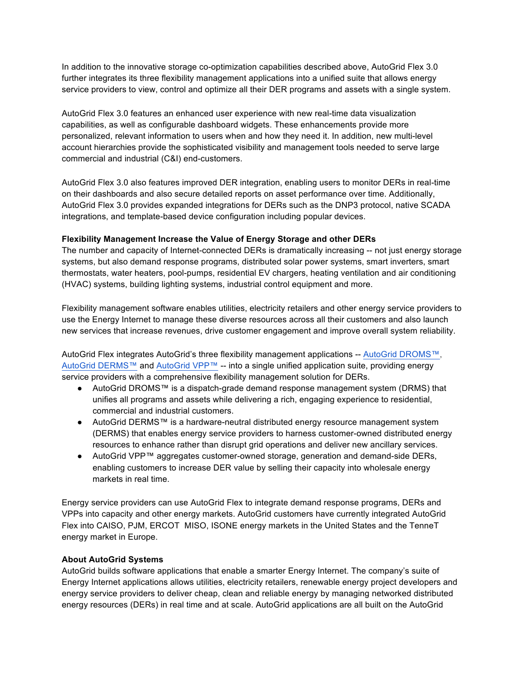In addition to the innovative storage co-optimization capabilities described above, AutoGrid Flex 3.0 further integrates its three flexibility management applications into a unified suite that allows energy service providers to view, control and optimize all their DER programs and assets with a single system.

AutoGrid Flex 3.0 features an enhanced user experience with new real-time data visualization capabilities, as well as configurable dashboard widgets. These enhancements provide more personalized, relevant information to users when and how they need it. In addition, new multi-level account hierarchies provide the sophisticated visibility and management tools needed to serve large commercial and industrial (C&I) end-customers.

AutoGrid Flex 3.0 also features improved DER integration, enabling users to monitor DERs in real-time on their dashboards and also secure detailed reports on asset performance over time. Additionally, AutoGrid Flex 3.0 provides expanded integrations for DERs such as the DNP3 protocol, native SCADA integrations, and template-based device configuration including popular devices.

## **Flexibility Management Increase the Value of Energy Storage and other DERs**

The number and capacity of Internet-connected DERs is dramatically increasing -- not just energy storage systems, but also demand response programs, distributed solar power systems, smart inverters, smart thermostats, water heaters, pool-pumps, residential EV chargers, heating ventilation and air conditioning (HVAC) systems, building lighting systems, industrial control equipment and more.

Flexibility management software enables utilities, electricity retailers and other energy service providers to use the Energy Internet to manage these diverse resources across all their customers and also launch new services that increase revenues, drive customer engagement and improve overall system reliability.

AutoGrid Flex integrates AutoGrid's three flexibility management applications -- AutoGrid DROMS™, AutoGrid DERMS™ and AutoGrid VPP™ -- into a single unified application suite, providing energy service providers with a comprehensive flexibility management solution for DERs.

- AutoGrid DROMS™ is a dispatch-grade demand response management system (DRMS) that unifies all programs and assets while delivering a rich, engaging experience to residential, commercial and industrial customers.
- AutoGrid DERMS™ is a hardware-neutral distributed energy resource management system (DERMS) that enables energy service providers to harness customer-owned distributed energy resources to enhance rather than disrupt grid operations and deliver new ancillary services.
- AutoGrid VPP™ aggregates customer-owned storage, generation and demand-side DERs, enabling customers to increase DER value by selling their capacity into wholesale energy markets in real time.

Energy service providers can use AutoGrid Flex to integrate demand response programs, DERs and VPPs into capacity and other energy markets. AutoGrid customers have currently integrated AutoGrid Flex into CAISO, PJM, ERCOT MISO, ISONE energy markets in the United States and the TenneT energy market in Europe.

## **About AutoGrid Systems**

AutoGrid builds software applications that enable a smarter Energy Internet. The company's suite of Energy Internet applications allows utilities, electricity retailers, renewable energy project developers and energy service providers to deliver cheap, clean and reliable energy by managing networked distributed energy resources (DERs) in real time and at scale. AutoGrid applications are all built on the AutoGrid